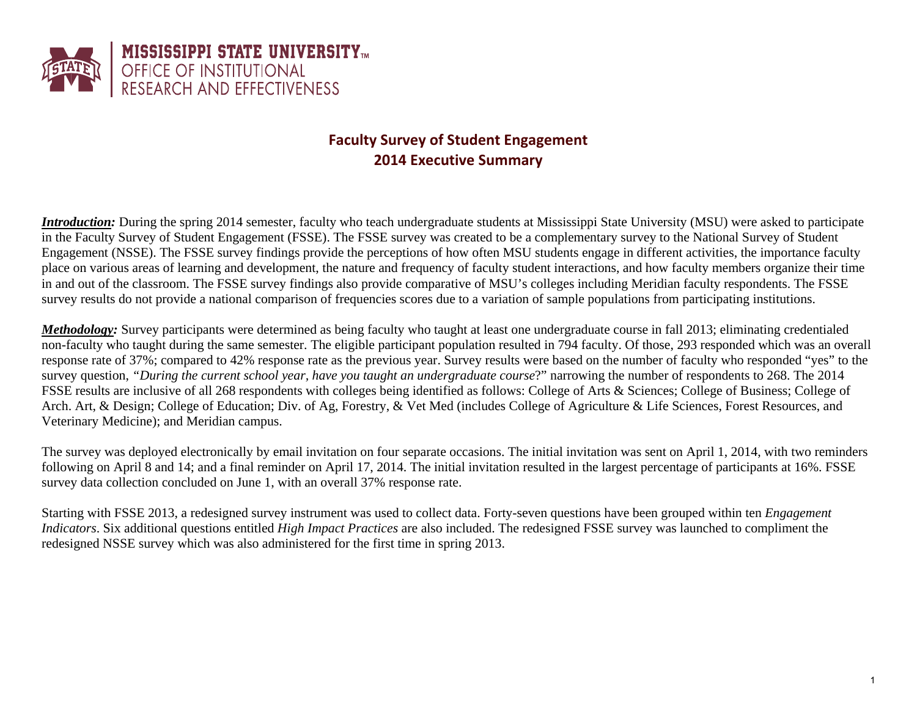

# **Faculty Survey of Student Engagement 2014 Executive Summary**

*Introduction:* During the spring 2014 semester, faculty who teach undergraduate students at Mississippi State University (MSU) were asked to participate in the Faculty Survey of Student Engagement (FSSE). The FSSE survey was created to be a complementary survey to the National Survey of Student Engagement (NSSE). The FSSE survey findings provide the perceptions of how often MSU students engage in different activities, the importance faculty place on various areas of learning and development, the nature and frequency of faculty student interactions, and how faculty members organize their time in and out of the classroom. The FSSE survey findings also provide comparative of MSU's colleges including Meridian faculty respondents. The FSSE survey results do not provide a national comparison of frequencies scores due to a variation of sample populations from participating institutions.

*Methodology:* Survey participants were determined as being faculty who taught at least one undergraduate course in fall 2013; eliminating credentialed non-faculty who taught during the same semester. The eligible participant population resulted in 794 faculty. Of those, 293 responded which was an overall response rate of 37%; compared to 42% response rate as the previous year. Survey results were based on the number of faculty who responded "yes" to the survey question, *"During the current school year, have you taught an undergraduate course*?" narrowing the number of respondents to 268. The 2014 FSSE results are inclusive of all 268 respondents with colleges being identified as follows: College of Arts & Sciences; College of Business; College of Arch. Art, & Design; College of Education; Div. of Ag, Forestry, & Vet Med (includes College of Agriculture & Life Sciences, Forest Resources, and Veterinary Medicine); and Meridian campus.

The survey was deployed electronically by email invitation on four separate occasions. The initial invitation was sent on April 1, 2014, with two reminders following on April 8 and 14; and a final reminder on April 17, 2014. The initial invitation resulted in the largest percentage of participants at 16%. FSSE survey data collection concluded on June 1, with an overall 37% response rate.

Starting with FSSE 2013, a redesigned survey instrument was used to collect data. Forty-seven questions have been grouped within ten *Engagement Indicators*. Six additional questions entitled *High Impact Practices* are also included. The redesigned FSSE survey was launched to compliment the redesigned NSSE survey which was also administered for the first time in spring 2013.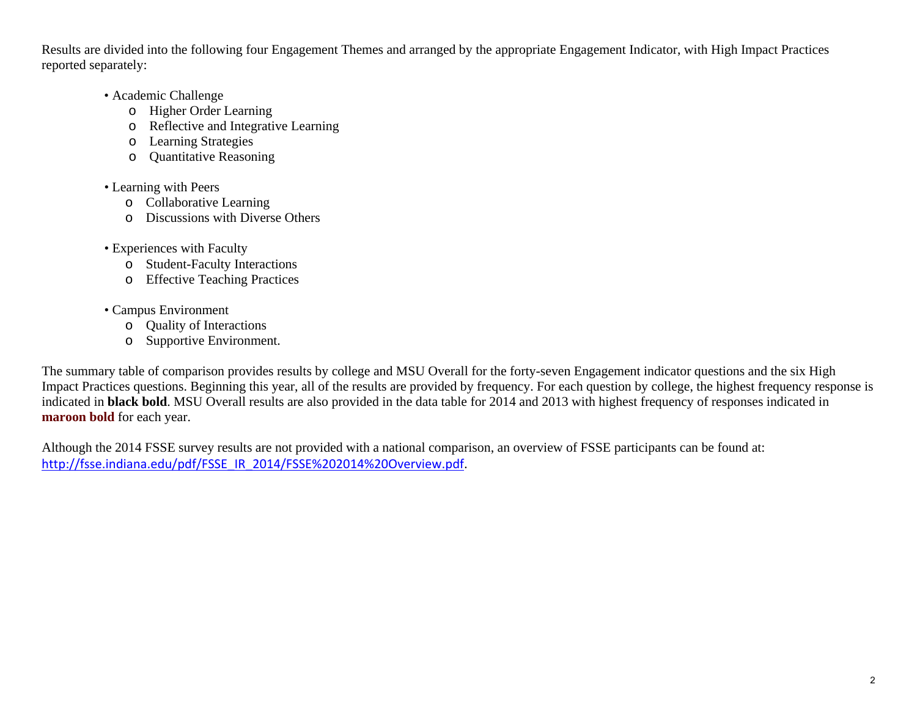Results are divided into the following four Engagement Themes and arranged by the appropriate Engagement Indicator, with High Impact Practices reported separately:

- Academic Challenge
	- o Higher Order Learning
	- o Reflective and Integrative Learning
	- o Learning Strategies
	- o Quantitative Reasoning
- Learning with Peers
	- o Collaborative Learning
	- o Discussions with Diverse Others
- Experiences with Faculty
	- o Student-Faculty Interactions
	- o Effective Teaching Practices
- Campus Environment
	- o Quality of Interactions
	- o Supportive Environment.

The summary table of comparison provides results by college and MSU Overall for the forty-seven Engagement indicator questions and the six High Impact Practices questions. Beginning this year, all of the results are provided by frequency. For each question by college, the highest frequency response is indicated in **black bold**. MSU Overall results are also provided in the data table for 2014 and 2013 with highest frequency of responses indicated in **maroon bold** for each year.

Although the 2014 FSSE survey results are not provided with a national comparison, an overview of FSSE participants can be found at: http://fsse.indiana.edu/pdf/FSSE\_IR\_2014/FSSE%202014%20Overview.pdf.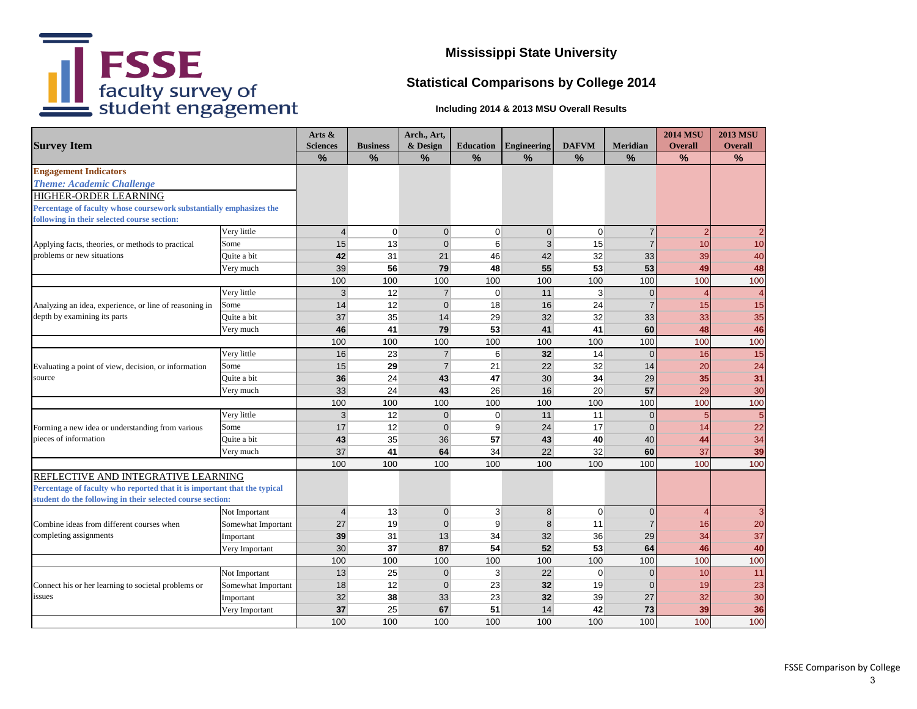

# **Statistical Comparisons by College 2014**

|                                                                                                                                        |                    | Arts $\&$       |                 | Arch., Art,    |                  |                    |                |                | <b>2014 MSU</b> | <b>2013 MSU</b> |
|----------------------------------------------------------------------------------------------------------------------------------------|--------------------|-----------------|-----------------|----------------|------------------|--------------------|----------------|----------------|-----------------|-----------------|
| <b>Survey Item</b>                                                                                                                     |                    | <b>Sciences</b> | <b>Business</b> | & Design       | <b>Education</b> | <b>Engineering</b> | <b>DAFVM</b>   | Meridian       | <b>Overall</b>  | <b>Overall</b>  |
|                                                                                                                                        |                    | $\frac{9}{6}$   | $\frac{9}{6}$   | $\frac{9}{6}$  | $\frac{9}{6}$    | $\frac{9}{6}$      | $\frac{9}{6}$  | $\frac{9}{6}$  | $\frac{9}{6}$   | $\frac{9}{6}$   |
| <b>Engagement Indicators</b>                                                                                                           |                    |                 |                 |                |                  |                    |                |                |                 |                 |
| <b>Theme: Academic Challenge</b>                                                                                                       |                    |                 |                 |                |                  |                    |                |                |                 |                 |
| HIGHER-ORDER LEARNING                                                                                                                  |                    |                 |                 |                |                  |                    |                |                |                 |                 |
| Percentage of faculty whose coursework substantially emphasizes the<br>following in their selected course section:                     |                    |                 |                 |                |                  |                    |                |                |                 |                 |
|                                                                                                                                        | Very little        | $\overline{4}$  | $\mathbf 0$     | $\overline{0}$ | $\mathbf 0$      | $\overline{0}$     | $\mathbf 0$    | $\overline{7}$ | $\overline{2}$  | $\overline{2}$  |
| Applying facts, theories, or methods to practical                                                                                      | Some               | 15              | 13              | $\overline{0}$ | 6                | 3                  | 15             | $\overline{7}$ | 10              | 10              |
| problems or new situations                                                                                                             | Quite a bit        | 42              | 31              | 21             | 46               | 42                 | 32             | 33             | 39              | 40              |
|                                                                                                                                        | Very much          | 39              | 56              | 79             | 48               | 55                 | 53             | 53             | 49              | 48              |
|                                                                                                                                        |                    | 100             | 100             | 100            | 100              | 100                | 100            | 100            | 100             | 100             |
|                                                                                                                                        | Very little        | 3 <sup>1</sup>  | $\overline{12}$ | $\overline{7}$ | $\mathbf 0$      | $11$               | $\overline{3}$ | $\mathbf 0$    | $\overline{4}$  | $\overline{4}$  |
| Analyzing an idea, experience, or line of reasoning in                                                                                 | Some               | 14              | 12              | $\overline{0}$ | 18               | 16                 | 24             | $\overline{7}$ | 15              | 15              |
| depth by examining its parts                                                                                                           | Quite a bit        | 37              | 35              | 14             | 29               | 32                 | 32             | 33             | 33              | 35              |
|                                                                                                                                        | Very much          | 46              | 41              | 79             | 53               | 41                 | 41             | 60             | 48              | 46              |
|                                                                                                                                        |                    | 100             | 100             | 100            | 100              | 100                | 100            | 100            | 100             | 100             |
|                                                                                                                                        | Very little        | 16              | 23              | $\overline{7}$ | 6                | 32                 | 14             | $\overline{0}$ | 16              | 15              |
| Evaluating a point of view, decision, or information<br>source                                                                         | Some               | 15              | 29              | $\overline{7}$ | 21               | 22                 | 32             | 14             | 20              | 24              |
|                                                                                                                                        | Quite a bit        | 36              | 24              | 43             | 47               | 30                 | 34             | 29             | 35              | 31              |
|                                                                                                                                        | Very much          | 33              | 24              | 43             | 26               | 16                 | 20             | 57             | 29              | 30              |
|                                                                                                                                        |                    | 100             | 100             | 100            | 100              | 100                | 100            | 100            | 100             | 100             |
|                                                                                                                                        | Very little        | 3 <sup>1</sup>  | 12              | $\overline{0}$ | $\mathbf 0$      | 11                 | 11             | $\mathbf 0$    | 5               | $\overline{5}$  |
| Forming a new idea or understanding from various                                                                                       | Some               | 17              | 12              | $\overline{0}$ | 9                | 24                 | 17             | $\mathbf{0}$   | 14              | 22              |
| pieces of information                                                                                                                  | Quite a bit        | 43              | 35              | 36             | 57               | 43                 | 40             | 40             | 44              | 34              |
|                                                                                                                                        | Very much          | 37              | 41              | 64             | 34               | 22                 | 32             | 60             | 37              | 39              |
|                                                                                                                                        |                    | 100             | 100             | 100            | 100              | 100                | 100            | 100            | 100             | 100             |
| REFLECTIVE AND INTEGRATIVE LEARNING                                                                                                    |                    |                 |                 |                |                  |                    |                |                |                 |                 |
| Percentage of faculty who reported that it is important that the typical<br>student do the following in their selected course section: |                    |                 |                 |                |                  |                    |                |                |                 |                 |
|                                                                                                                                        | Not Important      | $\overline{4}$  | 13              | $\overline{0}$ | 3                | 8 <sup>°</sup>     | $\mathbf 0$    | $\Omega$       | $\overline{4}$  | 3               |
| Combine ideas from different courses when                                                                                              | Somewhat Important | 27              | 19              | $\overline{0}$ | 9                | 8                  | 11             | $\overline{7}$ | 16              | 20              |
| completing assignments                                                                                                                 | Important          | 39              | 31              | 13             | 34               | 32                 | 36             | 29             | 34              | 37              |
|                                                                                                                                        | Very Important     | 30 <sup>°</sup> | 37              | 87             | 54               | 52                 | 53             | 64             | 46              | 40              |
|                                                                                                                                        |                    | 100             | 100             | 100            | 100              | 100                | 100            | 100            | 100             | 100             |
|                                                                                                                                        | Not Important      | 13              | 25              | $\overline{0}$ | 3                | 22                 | $\mathbf 0$    | $\overline{0}$ | 10              | 11              |
| Connect his or her learning to societal problems or                                                                                    | Somewhat Important | 18              | 12              | $\overline{0}$ | 23               | 32                 | 19             | $\mathbf{0}$   | 19              | 23              |
| issues                                                                                                                                 | Important          | 32              | 38              | 33             | 23               | 32                 | 39             | 27             | 32              | 30              |
|                                                                                                                                        | Very Important     | 37              | 25              | 67             | 51               | 14                 | 42             | 73             | 39              | 36              |
|                                                                                                                                        |                    | 100             | 100             | 100            | 100              | 100                | 100            | 100            | 100             | 100             |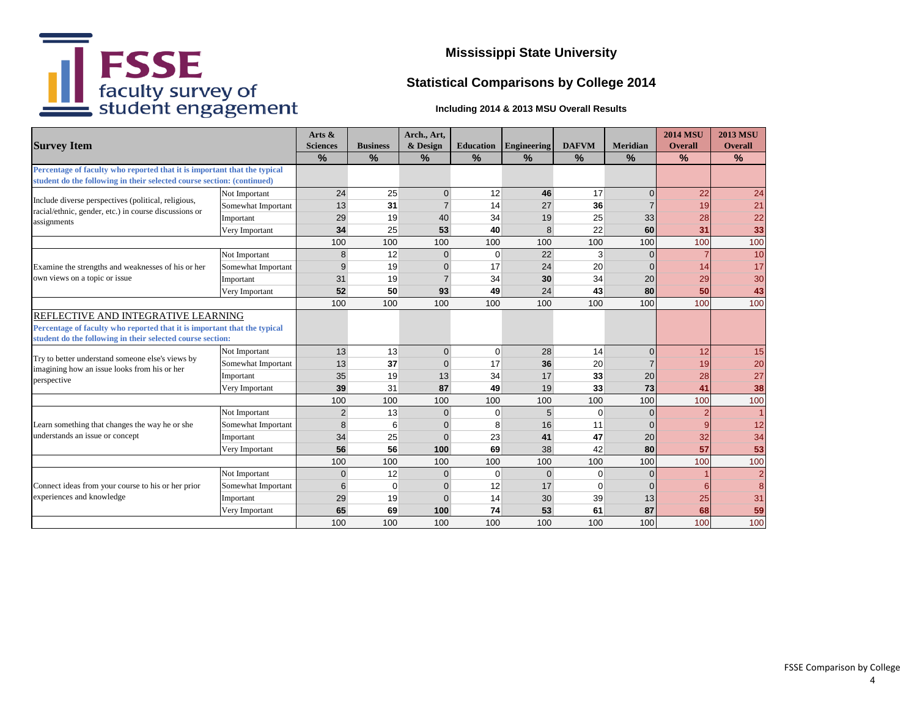

# **Statistical Comparisons by College 2014**

|                                                                                                  |                    | Arts &          |                 | Arch., Art,    |                  |                |              |                 | <b>2014 MSU</b> | <b>2013 MSU</b> |
|--------------------------------------------------------------------------------------------------|--------------------|-----------------|-----------------|----------------|------------------|----------------|--------------|-----------------|-----------------|-----------------|
| <b>Survey Item</b>                                                                               |                    | <b>Sciences</b> | <b>Business</b> | & Design       | <b>Education</b> | Engineering    | <b>DAFVM</b> | <b>Meridian</b> | <b>Overall</b>  | <b>Overall</b>  |
|                                                                                                  |                    | $\%$            | $\frac{9}{6}$   | $\frac{9}{6}$  | $\frac{9}{6}$    | $\%$           | $\%$         | $\frac{9}{6}$   | $\%$            | $\frac{9}{6}$   |
| Percentage of faculty who reported that it is important that the typical                         |                    |                 |                 |                |                  |                |              |                 |                 |                 |
| student do the following in their selected course section: (continued)                           |                    |                 |                 |                |                  |                |              |                 |                 |                 |
| Include diverse perspectives (political, religious,                                              | Not Important      | 24              | 25              | $\overline{0}$ | 12               | 46             | 17           | $\mathbf{0}$    | 22              | 24              |
| racial/ethnic, gender, etc.) in course discussions or                                            | Somewhat Important | 13              | 31              | $\overline{7}$ | 14               | 27             | 36           | $\overline{7}$  | 19              | 21              |
| assignments                                                                                      | Important          | 29              | 19              | 40             | 34               | 19             | 25           | 33              | 28              | 22              |
|                                                                                                  | Very Important     | 34              | 25              | 53             | 40               | 8              | 22           | 60              | 31              | 33              |
|                                                                                                  |                    | 100             | 100             | 100            | 100              | 100            | 100          | 100             | 100             | 100             |
|                                                                                                  | Not Important      | 8               | 12              | $\overline{0}$ | $\mathbf 0$      | 22             | 3            | $\Omega$        |                 | 10              |
| Examine the strengths and weaknesses of his or her                                               | Somewhat Important | 9               | 19              | $\overline{0}$ | 17               | 24             | 20           | $\Omega$        | 14              | 17              |
| own views on a topic or issue                                                                    | Important          | 31              | 19              | $\overline{7}$ | 34               | 30             | 34           | 20              | 29              | 30              |
|                                                                                                  | Very Important     | 52              | 50              | 93             | 49               | 24             | 43           | 80              | 50              | 43              |
|                                                                                                  |                    | 100             | 100             | 100            | 100              | 100            | 100          | 100             | 100             | 100             |
| <b>REFLECTIVE AND INTEGRATIVE LEARNING</b>                                                       |                    |                 |                 |                |                  |                |              |                 |                 |                 |
| Percentage of faculty who reported that it is important that the typical                         |                    |                 |                 |                |                  |                |              |                 |                 |                 |
| student do the following in their selected course section:                                       |                    |                 |                 |                |                  |                |              |                 |                 |                 |
|                                                                                                  | Not Important      | 13              | 13              | $\overline{0}$ | $\mathbf 0$      | 28             | 14           | $\Omega$        | 12              | 15              |
| Try to better understand someone else's views by<br>imagining how an issue looks from his or her | Somewhat Important | 13              | 37              | $\mathbf{0}$   | 17               | 36             | 20           | $\overline{7}$  | 19              | 20              |
| perspective                                                                                      | Important          | 35              | 19              | 13             | 34               | 17             | 33           | 20              | 28              | 27              |
|                                                                                                  | Very Important     | 39              | 31              | 87             | 49               | 19             | 33           | 73              | 41              | 38              |
|                                                                                                  |                    | 100             | 100             | 100            | 100              | 100            | 100          | 100             | 100             | 100             |
|                                                                                                  | Not Important      | $\overline{2}$  | 13              | $\overline{0}$ | 0                | 5 <sup>5</sup> | $\mathbf 0$  | $\Omega$        | $\overline{2}$  |                 |
| Learn something that changes the way he or she                                                   | Somewhat Important | 8               | 6               | $\mathbf{0}$   | 8                | 16             | 11           | $\Omega$        | 9               | 12              |
| understands an issue or concept                                                                  | Important          | 34              | 25              | $\mathbf{0}$   | 23               | 41             | 47           | 20              | 32              | 34              |
| Very Important                                                                                   |                    | 56              | 56              | 100            | 69               | 38             | 42           | 80              | 57              | 53              |
|                                                                                                  |                    | 100             | 100             | 100            | 100              | 100            | 100          | 100             | 100             | 100             |
|                                                                                                  | Not Important      | $\mathbf{0}$    | 12              | $\overline{0}$ | $\mathbf 0$      | $\overline{0}$ | $\mathbf 0$  | $\overline{0}$  |                 | $\overline{a}$  |
| Connect ideas from your course to his or her prior                                               | Somewhat Important | 6               | $\Omega$        | $\mathbf{0}$   | 12               | 17             | $\Omega$     | $\Omega$        | 6               | 8               |
| experiences and knowledge                                                                        | Important          | 29              | 19              | $\mathbf{0}$   | 14               | 30             | 39           | 13              | 25              | 31              |
|                                                                                                  | Very Important     | 65              | 69              | 100            | 74               | 53             | 61           | 87              | 68              | 59              |
|                                                                                                  |                    | 100             | 100             | 100            | 100              | 100            | 100          | 100             | 100             | 100             |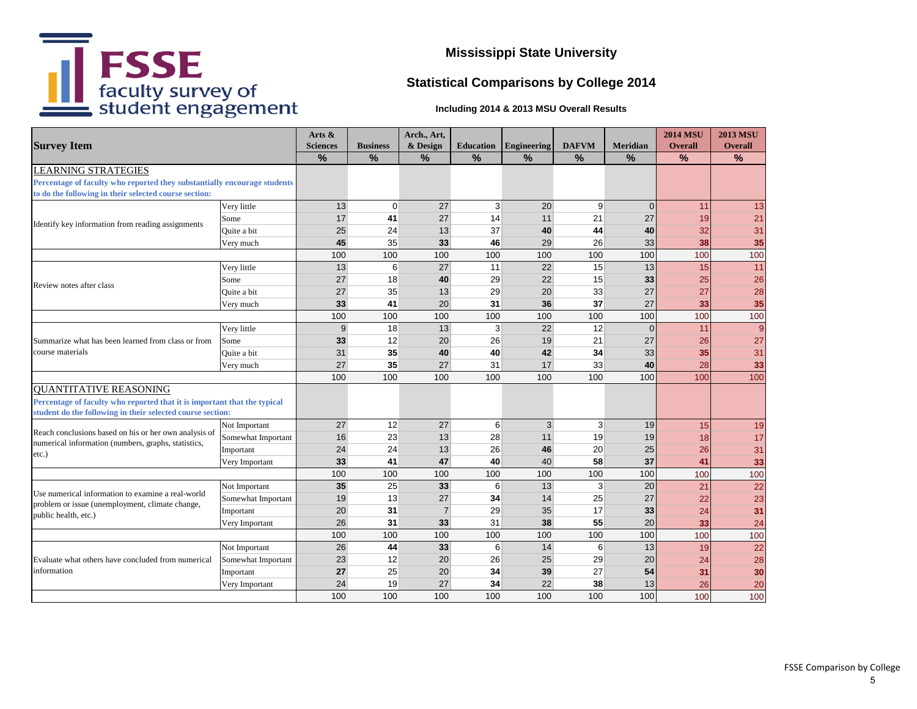

# **Statistical Comparisons by College 2014**

|                                                                                                                                   |                    | Arts $\&$       |                 | Arch., Art,    |                  |                    |                |                 | <b>2014 MSU</b> | <b>2013 MSU</b> |
|-----------------------------------------------------------------------------------------------------------------------------------|--------------------|-----------------|-----------------|----------------|------------------|--------------------|----------------|-----------------|-----------------|-----------------|
| <b>Survey Item</b>                                                                                                                |                    | <b>Sciences</b> | <b>Business</b> | & Design       | <b>Education</b> | <b>Engineering</b> | <b>DAFVM</b>   | <b>Meridian</b> | <b>Overall</b>  | <b>Overall</b>  |
|                                                                                                                                   |                    | $\%$            | $\%$            | $\%$           | $\frac{9}{6}$    | $\frac{9}{6}$      | $\%$           | $\%$            | %               | %               |
| <b>LEARNING STRATEGIES</b>                                                                                                        |                    |                 |                 |                |                  |                    |                |                 |                 |                 |
| Percentage of faculty who reported they substantially encourage students<br>to do the following in their selected course section: |                    |                 |                 |                |                  |                    |                |                 |                 |                 |
|                                                                                                                                   | Very little        | 13              | $\pmb{0}$       | 27             | 3                | 20                 | $\overline{9}$ | $\overline{0}$  | 11              | 13              |
| Identify key information from reading assignments                                                                                 | Some               | 17              | 41              | 27             | 14               | 11                 | 21             | 27              | 19              | 21              |
|                                                                                                                                   | Quite a bit        | 25              | 24              | 13             | 37               | 40                 | 44             | 40              | 32              | 31              |
|                                                                                                                                   | Very much          | 45              | 35              | 33             | 46               | 29                 | 26             | 33              | 38              | 35              |
|                                                                                                                                   |                    | 100             | 100             | 100            | 100              | 100                | 100            | 100             | 100             | 100             |
|                                                                                                                                   | Very little        | 13              | 6               | 27             | 11               | 22                 | 15             | 13              | 15              | 11              |
| Review notes after class                                                                                                          | Some               | 27              | 18              | 40             | 29               | 22                 | 15             | 33              | 25              | 26              |
|                                                                                                                                   | Quite a bit        | 27              | 35              | 13             | 29               | 20                 | 33             | 27              | 27              | 28              |
|                                                                                                                                   | Very much          | 33              | 41              | 20             | 31               | 36                 | 37             | 27              | 33              | 35              |
|                                                                                                                                   |                    | 100             | 100             | 100            | 100              | 100                | 100            | 100             | 100             | 100             |
|                                                                                                                                   | Very little        | 9 <sup>1</sup>  | 18              | 13             | 3                | 22                 | 12             | $\overline{0}$  | 11              | 9               |
| Summarize what has been learned from class or from<br>course materials                                                            | Some               | 33              | 12              | 20             | 26               | 19                 | 21             | 27              | 26              | 27              |
|                                                                                                                                   | Ouite a bit        | 31              | 35              | 40             | 40               | 42                 | 34             | 33              | 35              | 31              |
|                                                                                                                                   | Very much          | 27              | 35              | 27             | 31               | 17                 | 33             | 40              | 28              | 33              |
|                                                                                                                                   |                    | 100             | 100             | 100            | 100              | 100                | 100            | 100             | 100             | 100             |
| <b>QUANTITATIVE REASONING</b>                                                                                                     |                    |                 |                 |                |                  |                    |                |                 |                 |                 |
| Percentage of faculty who reported that it is important that the typical                                                          |                    |                 |                 |                |                  |                    |                |                 |                 |                 |
| student do the following in their selected course section:                                                                        |                    |                 |                 |                |                  |                    |                |                 |                 |                 |
| Reach conclusions based on his or her own analysis of                                                                             | Not Important      | 27              | 12              | 27             | 6                | $\overline{3}$     | 3              | 19              | 15              | 19              |
| numerical information (numbers, graphs, statistics,                                                                               | Somewhat Important | 16              | 23              | 13             | 28               | 11                 | 19             | 19              | 18              | 17              |
| etc.)                                                                                                                             | Important          | 24              | 24              | 13             | 26               | 46                 | 20             | 25              | 26              | 31              |
|                                                                                                                                   | Very Important     | 33              | 41              | 47             | 40               | 40                 | 58             | 37              | 41              | 33              |
|                                                                                                                                   |                    | 100             | 100             | 100            | 100              | 100                | 100            | 100             | 100             | 100             |
| Use numerical information to examine a real-world                                                                                 | Not Important      | 35              | 25              | 33             | 6                | 13                 | $\overline{3}$ | 20              | 21              | $\overline{22}$ |
| problem or issue (unemployment, climate change,                                                                                   | Somewhat Important | 19              | 13              | 27             | 34               | 14                 | 25             | 27              | 22              | 23              |
| public health, etc.)                                                                                                              | Important          | 20              | 31              | $\overline{7}$ | 29               | 35                 | 17             | 33              | 24              | 31              |
|                                                                                                                                   | Very Important     | 26              | 31              | 33             | 31               | 38                 | 55             | 20              | 33              | 24              |
|                                                                                                                                   |                    | 100             | 100             | 100            | 100              | 100                | 100            | 100             | 100             | 100             |
|                                                                                                                                   | Not Important      | 26              | 44              | 33             | 6                | 14                 | 6              | 13              | 19              | 22              |
| Evaluate what others have concluded from numerical                                                                                | Somewhat Important | 23              | 12              | 20             | 26               | 25                 | 29             | 20              | 24              | 28              |
| information                                                                                                                       | Important          | 27              | 25              | 20             | 34               | 39                 | 27             | 54              | 31              | 30              |
|                                                                                                                                   | Very Important     | 24              | 19              | 27             | 34               | 22                 | 38             | 13              | 26              | 20              |
|                                                                                                                                   |                    | 100             | 100             | 100            | 100              | 100                | 100            | 100             | 100             | 100             |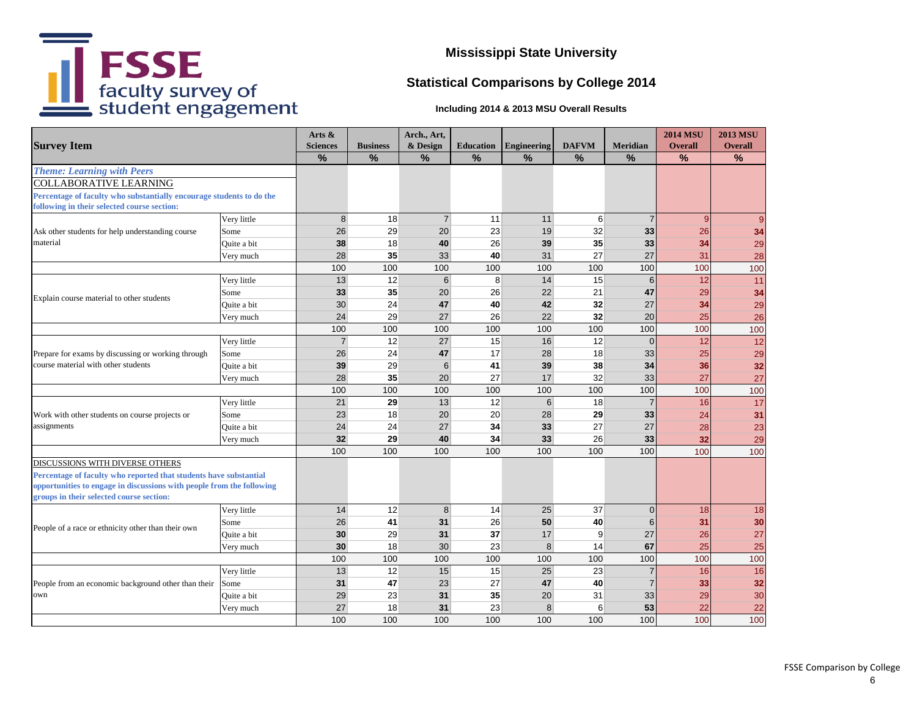

# **Statistical Comparisons by College 2014**

|                                                                                           |             | Arts $\&$       |                 | Arch., Art,      |                  |                    |               |                 | <b>2014 MSU</b> | <b>2013 MSU</b> |
|-------------------------------------------------------------------------------------------|-------------|-----------------|-----------------|------------------|------------------|--------------------|---------------|-----------------|-----------------|-----------------|
| <b>Survey Item</b>                                                                        |             | <b>Sciences</b> | <b>Business</b> | & Design         | <b>Education</b> | <b>Engineering</b> | <b>DAFVM</b>  | <b>Meridian</b> | <b>Overall</b>  | <b>Overall</b>  |
|                                                                                           |             | $\frac{9}{6}$   | $\frac{9}{6}$   | %                | $\frac{0}{0}$    | $\frac{9}{6}$      | $\frac{9}{6}$ | $\frac{9}{6}$   | $\frac{9}{6}$   | $\frac{9}{6}$   |
| <b>Theme: Learning with Peers</b>                                                         |             |                 |                 |                  |                  |                    |               |                 |                 |                 |
| <b>COLLABORATIVE LEARNING</b>                                                             |             |                 |                 |                  |                  |                    |               |                 |                 |                 |
| Percentage of faculty who substantially encourage students to do the                      |             |                 |                 |                  |                  |                    |               |                 |                 |                 |
| following in their selected course section:                                               |             |                 |                 |                  |                  |                    |               |                 |                 |                 |
|                                                                                           | Very little | 8 <sup>1</sup>  | 18              | $\overline{7}$   | 11               | 11                 | 6             | $\overline{7}$  | 9               | $\overline{9}$  |
| Ask other students for help understanding course                                          | Some        | 26              | 29              | 20               | 23               | 19                 | 32            | 33              | 26              | 34              |
| material                                                                                  | Quite a bit | 38              | 18              | 40               | 26               | 39                 | 35            | 33              | 34              | 29              |
|                                                                                           | Very much   | 28              | 35              | 33 <sup>1</sup>  | 40               | 31                 | 27            | 27              | 31              | 28              |
|                                                                                           |             | 100             | 100             | 100              | 100              | 100                | 100           | 100             | 100             | 100             |
|                                                                                           | Very little | 13              | 12              | $6 \overline{6}$ | 8                | 14                 | 15            | 6               | 12              | 11              |
| Explain course material to other students                                                 | Some        | 33              | 35              | 20               | 26               | 22                 | 21            | 47              | 29              | 34              |
|                                                                                           | Quite a bit | 30              | 24              | 47               | 40               | 42                 | 32            | 27              | 34              | 29              |
|                                                                                           | Very much   | 24              | 29              | 27               | 26               | 22                 | 32            | 20              | 25              | 26              |
|                                                                                           |             | 100             | 100             | 100              | 100              | 100                | 100           | 100             | 100             | 100             |
|                                                                                           | Very little | $\overline{7}$  | 12              | 27               | 15               | 16                 | 12            | $\overline{0}$  | 12              | 12              |
| Prepare for exams by discussing or working through<br>course material with other students | Some        | 26              | 24              | 47               | 17               | 28                 | 18            | 33              | 25              | 29              |
|                                                                                           | Quite a bit | 39              | 29              | $6 \overline{6}$ | 41               | 39                 | 38            | 34              | 36              | 32              |
|                                                                                           | Very much   | 28              | 35              | 20               | 27               | 17                 | 32            | 33              | 27              | 27              |
|                                                                                           |             | 100             | 100             | 100              | 100              | 100                | 100           | 100             | 100             | 100             |
|                                                                                           | Very little | 21              | 29              | 13               | 12               | $6 \overline{6}$   | 18            | $\overline{7}$  | 16              | 17              |
| Work with other students on course projects or                                            | Some        | 23              | 18              | 20               | 20               | 28                 | 29            | 33              | 24              | 31              |
| assignments                                                                               | Quite a bit | 24              | 24              | 27               | 34               | 33                 | 27            | 27              | 28              | 23              |
|                                                                                           | Very much   | 32              | 29              | 40               | 34               | 33                 | 26            | 33              | 32              | 29              |
|                                                                                           |             | 100             | 100             | 100              | 100              | 100                | 100           | 100             | 100             | 100             |
| DISCUSSIONS WITH DIVERSE OTHERS                                                           |             |                 |                 |                  |                  |                    |               |                 |                 |                 |
| Percentage of faculty who reported that students have substantial                         |             |                 |                 |                  |                  |                    |               |                 |                 |                 |
| opportunities to engage in discussions with people from the following                     |             |                 |                 |                  |                  |                    |               |                 |                 |                 |
| groups in their selected course section:                                                  |             |                 |                 |                  |                  |                    |               |                 |                 |                 |
|                                                                                           | Very little | 14              | 12              | 8 <sup>1</sup>   | 14               | 25                 | 37            | $\Omega$        | 18              | 18              |
| People of a race or ethnicity other than their own                                        | Some        | 26              | 41              | 31               | 26               | 50                 | 40            | 6               | 31              | 30              |
|                                                                                           | Quite a bit | 30              | 29              | 31               | 37               | 17                 | 9             | 27              | 26              | 27              |
|                                                                                           | Very much   | 30              | 18              | 30               | 23               | 8 <sup>°</sup>     | 14            | 67              | 25              | 25              |
|                                                                                           |             | 100             | 100             | 100              | 100              | 100                | 100           | 100             | 100             | 100             |
|                                                                                           | Very little | 13              | 12              | 15               | 15               | 25                 | 23            | $\overline{7}$  | 16              | 16              |
| People from an economic background other than their                                       | Some        | 31              | 47              | 23               | 27               | 47                 | 40            | $\overline{7}$  | 33              | 32              |
| own                                                                                       | Quite a bit | 29              | 23              | 31               | 35               | 20                 | 31            | 33              | 29              | 30              |
|                                                                                           | Very much   | 27              | 18              | 31               | 23               | 8                  | 6             | 53              | 22              | 22              |
|                                                                                           |             | 100             | 100             | 100              | 100              | 100                | 100           | 100             | 100             | 100             |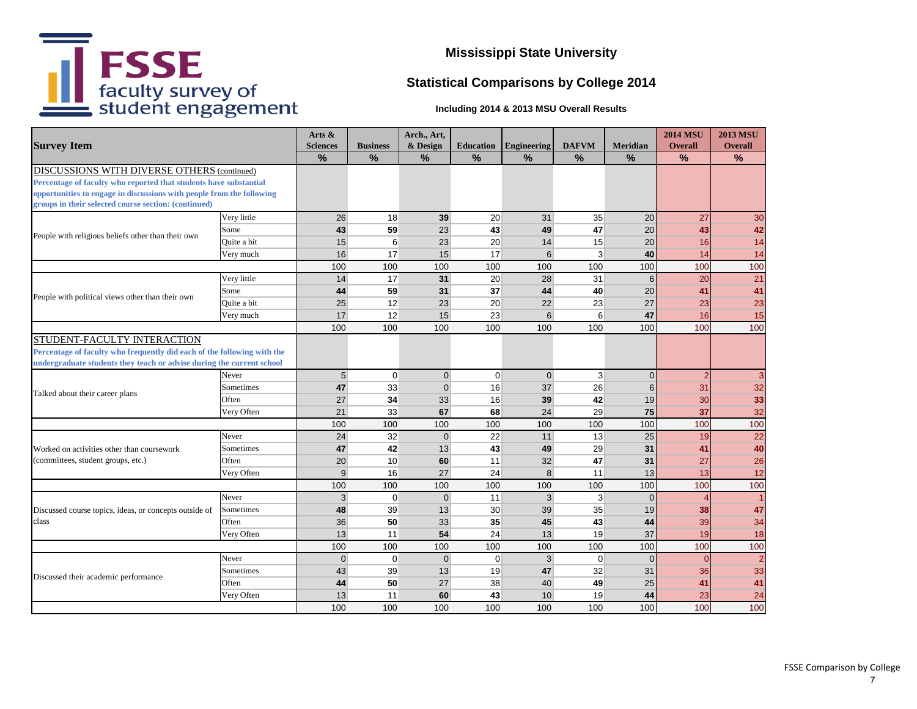

# **Statistical Comparisons by College 2014**

| <b>Survey Item</b>                                                      |             | Arts &          |                 | Arch., Art,    |                  |                    |                |                | <b>2014 MSU</b> | <b>2013 MSU</b> |
|-------------------------------------------------------------------------|-------------|-----------------|-----------------|----------------|------------------|--------------------|----------------|----------------|-----------------|-----------------|
|                                                                         |             | <b>Sciences</b> | <b>Business</b> | & Design       | <b>Education</b> | <b>Engineering</b> | <b>DAFVM</b>   | Meridian       | <b>Overall</b>  | <b>Overall</b>  |
|                                                                         |             | $\frac{9}{6}$   | $\frac{9}{6}$   | %              | $\frac{9}{6}$    | %                  | $\frac{9}{6}$  | $\frac{9}{6}$  | %               | %               |
| DISCUSSIONS WITH DIVERSE OTHERS (continued)                             |             |                 |                 |                |                  |                    |                |                |                 |                 |
| Percentage of faculty who reported that students have substantial       |             |                 |                 |                |                  |                    |                |                |                 |                 |
| opportunities to engage in discussions with people from the following   |             |                 |                 |                |                  |                    |                |                |                 |                 |
| groups in their selected course section: (continued)                    |             |                 |                 |                |                  |                    |                |                |                 |                 |
|                                                                         | Very little | 26              | 18              | 39             | 20               | 31                 | 35             | 20             | 27              | 30              |
| People with religious beliefs other than their own                      | Some        | 43              | 59              | 23             | 43               | 49                 | 47             | 20             | 43              | 42              |
|                                                                         | Quite a bit | 15              | 6               | 23             | 20               | 14                 | 15             | 20             | 16              | 14              |
|                                                                         | Very much   | 16              | 17              | 15             | 17               | 6                  | 3              | 40             | 14              | 14              |
|                                                                         |             | 100             | 100             | 100            | 100              | 100                | 100            | 100            | 100             | 100             |
|                                                                         | Very little | 14              | 17              | 31             | 20               | 28                 | 31             | 6              | 20              | 21              |
| People with political views other than their own                        | Some        | 44              | 59              | 31             | 37               | 44                 | 40             | 20             | 41              | 41              |
|                                                                         | Quite a bit | 25              | 12              | 23             | 20               | 22                 | 23             | 27             | 23              | 23              |
|                                                                         | Very much   | 17              | 12              | 15             | 23               | $6 \overline{6}$   | 6              | 47             | 16              | 15              |
|                                                                         |             | 100             | 100             | 100            | 100              | 100                | 100            | 100            | 100             | 100             |
| STUDENT-FACULTY INTERACTION                                             |             |                 |                 |                |                  |                    |                |                |                 |                 |
| Percentage of faculty who frequently did each of the following with the |             |                 |                 |                |                  |                    |                |                |                 |                 |
| undergraduate students they teach or advise during the current school   |             |                 |                 |                |                  |                    |                |                |                 |                 |
|                                                                         | Never       | 5 <sup>5</sup>  | $\overline{0}$  | $\overline{0}$ | $\mathbf 0$      | $\overline{0}$     | $\mathbf{3}$   | $\Omega$       | $\overline{2}$  | 3               |
| Talked about their career plans                                         | Sometimes   | 47              | 33              | $\overline{0}$ | 16               | 37                 | 26             | 6              | 31              | 32              |
|                                                                         | Often       | 27              | 34              | 33             | 16               | 39                 | 42             | 19             | 30              | 33              |
|                                                                         | Very Often  | 21              | 33              | 67             | 68               | 24                 | 29             | 75             | 37              | 32              |
|                                                                         |             | 100             | 100             | 100            | 100              | 100                | 100            | 100            | 100             | 100             |
|                                                                         | Never       | 24              | 32              | $\overline{0}$ | 22               | 11                 | 13             | 25             | 19              | 22              |
| Worked on activities other than coursework                              | Sometimes   | 47              | 42              | 13             | 43               | 49                 | 29             | 31             | 41              | 40              |
| (committees, student groups, etc.)                                      | Often       | 20              | 10              | 60             | 11               | 32                 | 47             | 31             | 27              | 26              |
|                                                                         | Very Often  | $\overline{9}$  | 16              | 27             | 24               | 8                  | 11             | 13             | 13              | 12              |
|                                                                         |             | 100             | 100             | 100            | 100              | 100                | 100            | 100            | 100             | 100             |
|                                                                         | Never       | 3 <sup>1</sup>  | $\overline{0}$  | $\overline{0}$ | 11               | 3 <sup>1</sup>     | $\overline{3}$ | $\overline{0}$ | $\overline{4}$  |                 |
| Discussed course topics, ideas, or concepts outside of                  | Sometimes   | 48              | 39              | 13             | 30               | 39                 | 35             | 19             | 38              | 47              |
| class                                                                   | Often       | 36              | 50              | 33             | 35               | 45                 | 43             | 44             | 39              | 34              |
|                                                                         | Very Often  | 13              | 11              | 54             | 24               | 13                 | 19             | 37             | 19              | 18              |
|                                                                         |             | 100             | 100             | 100            | 100              | 100                | 100            | 100            | 100             | 100             |
|                                                                         | Never       | $\Omega$        | $\mathbf 0$     | $\overline{0}$ | $\Omega$         | 3 <sup>1</sup>     | $\Omega$       | $\Omega$       | $\Omega$        | $\overline{2}$  |
|                                                                         | Sometimes   | 43              | 39              | 13             | 19               | 47                 | 32             | 31             | 36              | 33              |
| Discussed their academic performance                                    | Often       | 44              | 50              | 27             | 38               | 40                 | 49             | 25             | 41              | 41              |
|                                                                         | Very Often  | 13              | 11              | 60             | 43               | 10                 | 19             | 44             | 23              | 24              |
|                                                                         |             | 100             | 100             | 100            | 100              | 100                | 100            | 100            | 100             | 100             |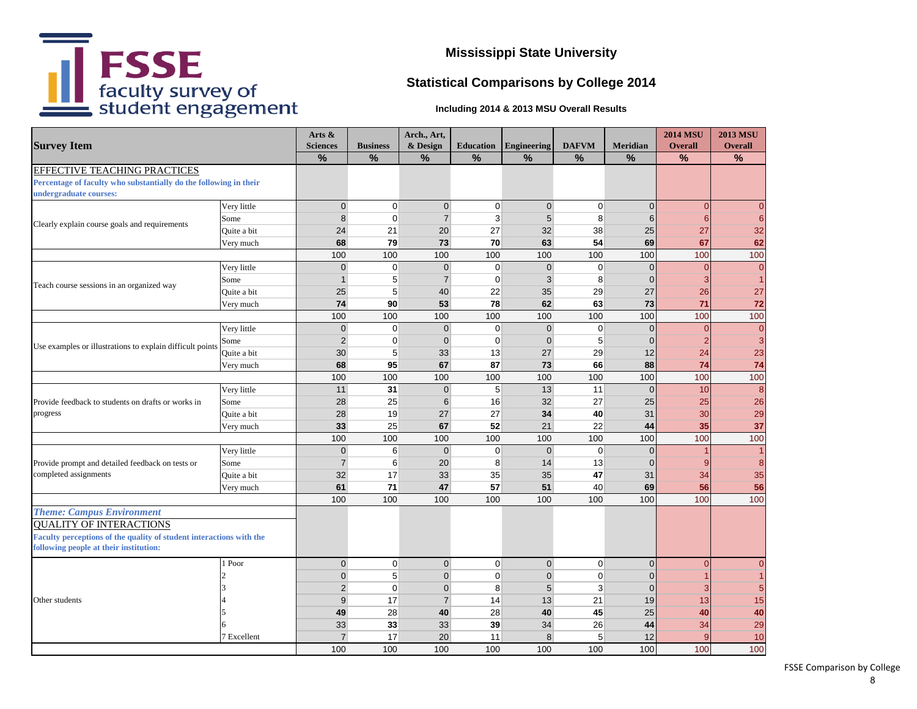

# **Statistical Comparisons by College 2014**

#### **Including 2014 & 2013 MSU Overall Results**

| <b>Survey Item</b>                                                                          |             | Arts &<br><b>Sciences</b> | <b>Business</b> | Arch., Art,<br>& Design | <b>Education</b> | Engineering    | <b>DAFVM</b> | <b>Meridian</b> | <b>2014 MSU</b><br><b>Overall</b> | <b>2013 MSU</b><br><b>Overall</b> |
|---------------------------------------------------------------------------------------------|-------------|---------------------------|-----------------|-------------------------|------------------|----------------|--------------|-----------------|-----------------------------------|-----------------------------------|
|                                                                                             |             | $\%$                      | $\frac{9}{6}$   | $\%$                    | $\%$             | $\frac{0}{0}$  | %            | %               | $\%$                              | %                                 |
| EFFECTIVE TEACHING PRACTICES                                                                |             |                           |                 |                         |                  |                |              |                 |                                   |                                   |
| Percentage of faculty who substantially do the following in their<br>undergraduate courses: |             |                           |                 |                         |                  |                |              |                 |                                   |                                   |
|                                                                                             | Very little | $\overline{0}$            | $\mathbf 0$     | $\overline{0}$          | $\overline{0}$   | $\overline{0}$ | $\mathbf 0$  | $\overline{0}$  | $\overline{0}$                    | $\overline{0}$                    |
| Clearly explain course goals and requirements                                               | Some        | 8                         | $\pmb{0}$       | $\overline{7}$          | 3                | 5 <sup>5</sup> | 8            | $6\phantom{1}6$ | 6                                 | $6 \overline{6}$                  |
|                                                                                             | Quite a bit | 24                        | 21              | 20                      | 27               | 32             | 38           | 25              | 27                                | 32                                |
|                                                                                             | Very much   | 68                        | 79              | 73                      | 70               | 63             | 54           | 69              | 67                                | 62                                |
|                                                                                             |             | 100                       | 100             | 100                     | 100              | 100            | 100          | 100             | 100                               | 100                               |
|                                                                                             | Very little | $\overline{0}$            | $\mathbf 0$     | $\overline{0}$          | $\overline{0}$   | $\overline{0}$ | $\mathbf 0$  | $\mathbf 0$     | $\overline{0}$                    | $\overline{0}$                    |
| Teach course sessions in an organized way                                                   | Some        | $\mathbf{1}$              | $\sqrt{5}$      | $\overline{7}$          | $\mathbf 0$      | 3 <sup>1</sup> | 8            | $\Omega$        | 3                                 | $\vert$ 1                         |
|                                                                                             | Quite a bit | 25                        | 5               | 40                      | 22               | 35             | 29           | 27              | 26                                | 27                                |
|                                                                                             | Very much   | 74                        | 90              | 53                      | 78               | 62             | 63           | 73              | 71                                | 72                                |
|                                                                                             |             | 100                       | 100             | 100                     | 100              | 100            | 100          | 100             | 100                               | 100                               |
|                                                                                             | Very little | $\overline{0}$            | $\mathbf 0$     | $\overline{0}$          | $\overline{0}$   | $\overline{0}$ | $\mathbf 0$  | $\Omega$        | $\Omega$                          | $\overline{0}$                    |
| Use examples or illustrations to explain difficult points                                   | Some        | $\overline{2}$            | $\mathbf 0$     | $\overline{0}$          | $\overline{0}$   | $\overline{0}$ | 5            | $\overline{0}$  | $\overline{\mathbf{2}}$           | $\mathbf{3}$                      |
|                                                                                             | Quite a bit | 30                        | 5               | 33                      | 13               | 27             | 29           | 12              | 24                                | 23                                |
| Very much                                                                                   |             | 68                        | 95              | 67                      | 87               | 73             | 66           | 88              | 74                                | 74                                |
|                                                                                             |             | 100                       | 100             | 100                     | 100              | 100            | 100          | 100             | 100                               | 100                               |
|                                                                                             | Very little | 11                        | 31              | $\overline{0}$          | $5\overline{)}$  | 13             | 11           | $\mathbf{0}$    | 10                                | 8                                 |
| Provide feedback to students on drafts or works in                                          | Some        | 28                        | 25              | $6 \overline{6}$        | 16               | 32             | 27           | 25              | 25                                | 26                                |
| progress                                                                                    | Quite a bit | 28                        | 19              | 27                      | 27               | 34             | 40           | 31              | 30                                | 29                                |
|                                                                                             | Very much   | 33                        | 25              | 67                      | 52               | 21             | 22           | 44              | 35                                | 37                                |
|                                                                                             |             | 100                       | 100             | 100                     | 100              | 100            | 100          | 100             | 100                               | 100                               |
|                                                                                             | Very little | $\overline{0}$            | 6               | $\overline{0}$          | $\overline{0}$   | $\overline{0}$ | $\mathbf 0$  | $\overline{0}$  |                                   | $\vert$ 1                         |
| Provide prompt and detailed feedback on tests or                                            | Some        | $\overline{7}$            | $6\phantom{1}6$ | 20                      | 8                | 14             | 13           | $\Omega$        | 9                                 | 8                                 |
| completed assignments                                                                       | Quite a bit | 32                        | 17              | 33                      | 35               | 35             | 47           | 31              | 34                                | 35                                |
|                                                                                             | Very much   | 61                        | $\bf 71$        | 47                      | 57               | 51             | 40           | 69              | 56                                | 56                                |
|                                                                                             |             | 100                       | 100             | 100                     | 100              | 100            | 100          | 100             | 100                               | 100                               |
| <b>Theme: Campus Environment</b>                                                            |             |                           |                 |                         |                  |                |              |                 |                                   |                                   |
| <b>QUALITY OF INTERACTIONS</b>                                                              |             |                           |                 |                         |                  |                |              |                 |                                   |                                   |
| Faculty perceptions of the quality of student interactions with the                         |             |                           |                 |                         |                  |                |              |                 |                                   |                                   |
| following people at their institution:                                                      |             |                           |                 |                         |                  |                |              |                 |                                   |                                   |
|                                                                                             | 1 Poor      | $\overline{0}$            | $\mathbf 0$     | $\overline{0}$          | $\overline{0}$   | $\overline{0}$ | $\mathbf 0$  | $\overline{0}$  | $\overline{0}$                    | $\overline{0}$                    |
|                                                                                             |             | $\overline{0}$            | 5               | $\overline{0}$          | $\mathbf 0$      | $\overline{0}$ | $\mathbf 0$  | $\Omega$        |                                   | $\mathbf{1}$                      |
|                                                                                             |             | $\overline{2}$            | $\mathbf 0$     | $\overline{0}$          | 8                | 5 <sup>5</sup> | 3            | $\overline{0}$  | 3                                 | 5 <sup>1</sup>                    |
| Other students                                                                              |             | $\overline{9}$            | 17              | $\overline{7}$          | 14               | 13             | 21           | 19              | 13                                | 15                                |
|                                                                                             |             | 49                        | 28              | 40                      | 28               | 40             | 45           | 25              | 40                                | 40                                |
|                                                                                             |             | 33                        | 33              | 33                      | 39               | 34             | 26           | 44              | 34                                | 29                                |
|                                                                                             | 7 Excellent | $\overline{7}$            | 17              | 20                      | 11               | 8 <sup>1</sup> | 5            | 12              | $\mathbf c$                       | 10                                |
|                                                                                             |             | 100                       | 100             | 100                     | 100              | 100            | 100          | 100             | 100                               | 100                               |

FSSE Comparison by College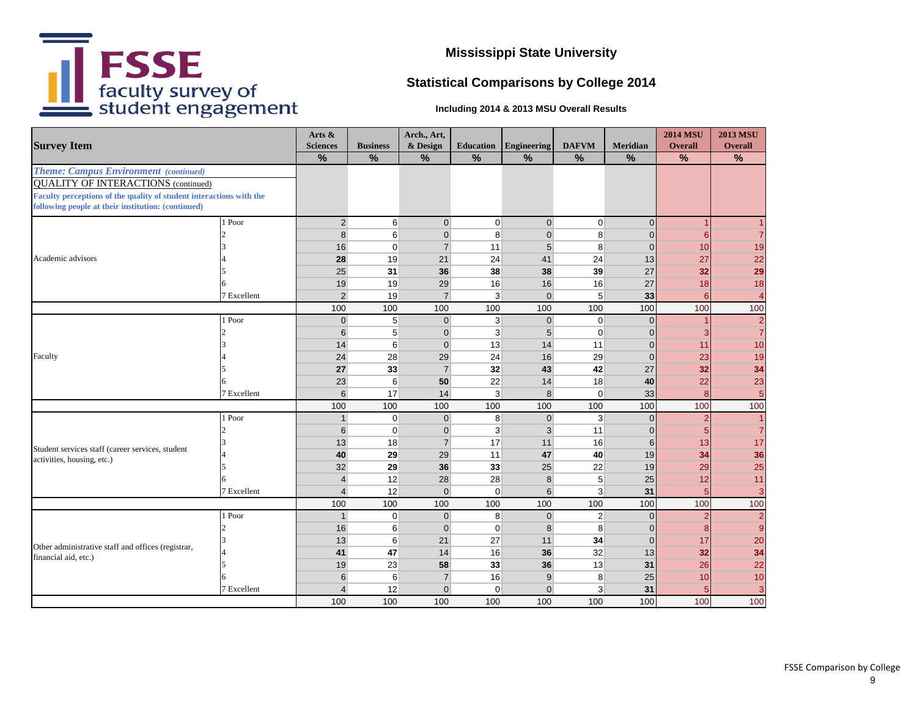

## **Statistical Comparisons by College 2014**

|                                                                     |             | Arts &                  |                  | Arch., Art,    |                  |                  |                |                | <b>2014 MSU</b> | <b>2013 MSU</b>  |
|---------------------------------------------------------------------|-------------|-------------------------|------------------|----------------|------------------|------------------|----------------|----------------|-----------------|------------------|
| <b>Survey Item</b>                                                  |             | <b>Sciences</b>         | <b>Business</b>  | & Design       | <b>Education</b> | Engineering      | <b>DAFVM</b>   | Meridian       | <b>Overall</b>  | <b>Overall</b>   |
|                                                                     |             | $\frac{9}{6}$           | %                | %              | $\frac{9}{6}$    | $\frac{9}{6}$    | $\frac{9}{6}$  | $\frac{9}{6}$  | $\frac{9}{6}$   | $\frac{9}{6}$    |
| <b>Theme: Campus Environment</b> (continued)                        |             |                         |                  |                |                  |                  |                |                |                 |                  |
| <b>QUALITY OF INTERACTIONS (continued)</b>                          |             |                         |                  |                |                  |                  |                |                |                 |                  |
| Faculty perceptions of the quality of student interactions with the |             |                         |                  |                |                  |                  |                |                |                 |                  |
| following people at their institution: (continued)                  |             |                         |                  |                |                  |                  |                |                |                 |                  |
|                                                                     | 1 Poor      | 2 <sup>1</sup>          | $6 \overline{6}$ | $\overline{0}$ | $\mathbf 0$      | $\overline{0}$   | $\overline{0}$ | $\overline{0}$ | $\overline{1}$  |                  |
|                                                                     |             | 8                       | $6\phantom{1}6$  | $\overline{0}$ | 8                | $\overline{0}$   | 8              | $\overline{0}$ | 6               | $\overline{7}$   |
|                                                                     |             | 16                      | $\overline{0}$   | $\overline{7}$ | 11               | 5 <sup>5</sup>   | 8              | $\overline{0}$ | 10              | 19               |
| Academic advisors                                                   |             | 28                      | 19               | 21             | 24               | 41               | 24             | 13             | 27              | 22               |
|                                                                     |             | 25                      | 31               | 36             | 38               | 38               | 39             | 27             | 32              | 29               |
|                                                                     |             | 19                      | 19               | 29             | 16               | 16               | 16             | 27             | 18              | 18               |
|                                                                     | 7 Excellent | $\overline{2}$          | 19               | $\overline{7}$ | 3                | $\overline{0}$   | 5              | 33             | 6               | $\overline{4}$   |
|                                                                     |             | 100                     | 100              | 100            | 100              | 100              | 100            | 100            | 100             | 100              |
|                                                                     | 1 Poor      | $\overline{0}$          | 5 <sup>5</sup>   | $\overline{0}$ | 3                | $\overline{0}$   | $\overline{0}$ | $\Omega$       | $\overline{1}$  | $\frac{2}{7}$    |
| Faculty                                                             |             | 6                       | 5                | $\overline{0}$ | 3                | 5 <sup>5</sup>   | $\mathbf 0$    | $\Omega$       | 3               |                  |
|                                                                     |             | 14                      | $\,$ 6 $\,$      | $\overline{0}$ | 13               | 14               | 11             | $\mathbf 0$    | 11              | 10               |
|                                                                     |             | 24                      | 28               | 29             | 24               | 16               | 29             | $\mathbf 0$    | 23              | 19               |
|                                                                     |             | 27                      | 33               | $\overline{7}$ | 32               | 43               | 42             | 27             | 32              | 34               |
|                                                                     |             | 23                      | 6                | 50             | 22               | 14               | 18             | 40             | 22              | 23               |
|                                                                     | 7 Excellent | $6\phantom{1}$          | 17               | 14             | 3                | 8 <sup>°</sup>   | 0              | 33             | 8               | $5\phantom{1}$   |
|                                                                     |             | 100                     | 100              | 100            | 100              | 100              | 100            | 100            | 100             | 100              |
|                                                                     | 1 Poor      |                         | $\overline{0}$   | $\overline{0}$ | 8                | $\overline{0}$   | 3              | $\Omega$       | $\overline{2}$  | $\overline{1}$   |
|                                                                     |             | 6                       | $\overline{0}$   | $\overline{0}$ | 3                | $\overline{3}$   | 11             | $\Omega$       | 5               | $\overline{7}$   |
| Student services staff (career services, student                    |             | 13                      | 18               | $\overline{7}$ | 17               | 11               | 16             | 6              | 13              | 17               |
| activities, housing, etc.)                                          |             | 40                      | 29               | 29             | 11               | 47               | 40             | 19             | 34              | 36               |
|                                                                     |             | 32                      | 29               | 36             | 33               | 25               | 22             | 19             | 29              | 25               |
|                                                                     | 6           | $\overline{4}$          | 12               | 28             | 28               | 8 <sup>1</sup>   | 5              | 25             | 12              | 11               |
|                                                                     | 7 Excellent | $\overline{4}$          | 12               | $\overline{0}$ | $\mathbf 0$      | $6 \overline{6}$ | $\overline{3}$ | 31             | 5               | 3                |
|                                                                     |             | 100                     | 100              | 100            | 100              | 100              | 100            | 100            | 100             | 100              |
|                                                                     | 1 Poor      | $\overline{1}$          | $\overline{0}$   | $\overline{0}$ | 8                | $\overline{0}$   | $\overline{2}$ | $\Omega$       | $\overline{2}$  | $\overline{2}$   |
|                                                                     |             | 16                      | 6                | $\overline{0}$ | $\mathbf 0$      | 8                | 8              | $\Omega$       | 8               | $\boldsymbol{9}$ |
| Other administrative staff and offices (registrar,                  |             | 13                      | 6                | 21             | 27               | 11               | 34             | $\overline{0}$ | 17              | 20               |
| financial aid, etc.)                                                |             | 41                      | 47               | 14             | 16               | 36               | 32             | 13             | 32              | 34               |
|                                                                     |             | 19                      | 23               | 58             | 33               | 36               | 13             | 31             | 26              | 22               |
|                                                                     | 6           | 6                       | 6                | $\overline{7}$ | 16               | $\overline{9}$   | 8              | 25             | 10              | 10               |
|                                                                     | 7 Excellent | $\overline{\mathbf{A}}$ | 12               | $\overline{0}$ | $\Omega$         | $\Omega$         | 3              | 31             |                 | 3                |
|                                                                     |             | 100                     | 100              | 100            | 100              | 100              | 100            | 100            | 100             | 100              |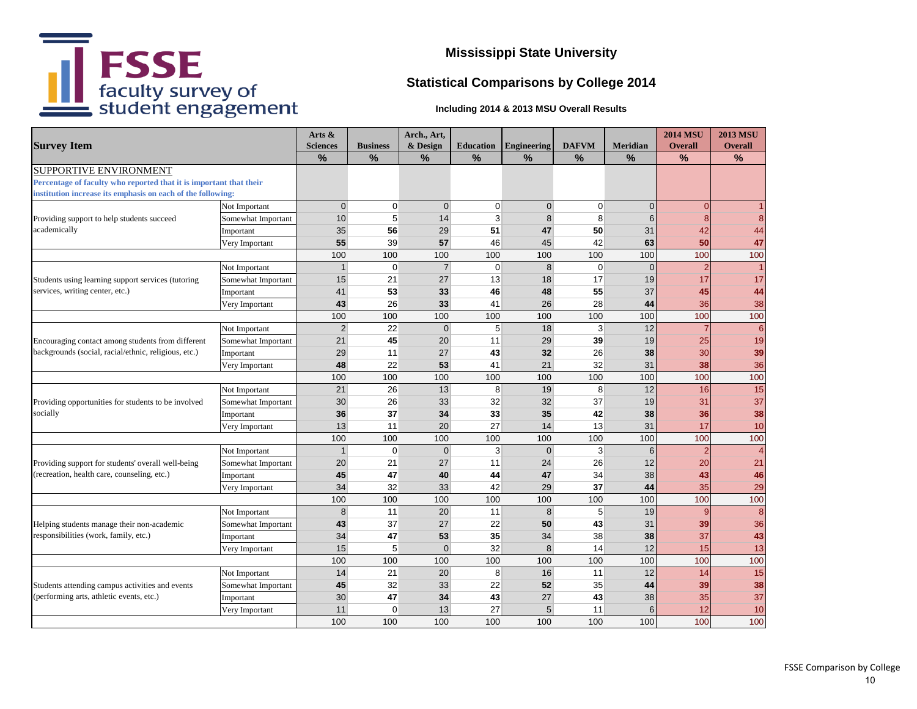

# **Statistical Comparisons by College 2014**

|                                                                    |                    | Arts $\&$       |                 | Arch., Art,    |                  |                    |                |                | <b>2014 MSU</b> | <b>2013 MSU</b> |
|--------------------------------------------------------------------|--------------------|-----------------|-----------------|----------------|------------------|--------------------|----------------|----------------|-----------------|-----------------|
| <b>Survey Item</b>                                                 |                    | <b>Sciences</b> | <b>Business</b> | & Design       | <b>Education</b> | <b>Engineering</b> | <b>DAFVM</b>   | Meridian       | <b>Overall</b>  | <b>Overall</b>  |
|                                                                    |                    | $\frac{9}{6}$   | $\frac{9}{6}$   | $\frac{9}{6}$  | $\frac{9}{6}$    | $\frac{9}{6}$      | $\frac{9}{6}$  | $\frac{9}{6}$  | %               | $\frac{9}{6}$   |
| SUPPORTIVE ENVIRONMENT                                             |                    |                 |                 |                |                  |                    |                |                |                 |                 |
| Percentage of faculty who reported that it is important that their |                    |                 |                 |                |                  |                    |                |                |                 |                 |
| institution increase its emphasis on each of the following:        |                    |                 |                 |                |                  |                    |                |                |                 |                 |
|                                                                    | Not Important      | $\overline{0}$  | $\overline{0}$  | $\overline{0}$ | 0                | $\overline{0}$     | 0              | $\overline{0}$ | $\overline{0}$  |                 |
| Providing support to help students succeed                         | Somewhat Important | 10              | 5               | 14             | 3                | 8 <sup>1</sup>     | 8              | 6              | 8               | 8               |
| academically                                                       | Important          | 35              | 56              | 29             | 51               | 47                 | 50             | 31             | 42              | 44              |
|                                                                    | Very Important     | 55              | 39              | 57             | 46               | 45                 | 42             | 63             | 50              | 47              |
|                                                                    |                    | 100             | 100             | 100            | 100              | 100                | 100            | 100            | 100             | 100             |
|                                                                    | Not Important      | $\mathbf{1}$    | $\overline{0}$  | $\overline{7}$ | $\mathbf 0$      | 8 <sup>°</sup>     | $\overline{0}$ | $\overline{0}$ | $\overline{2}$  | $\overline{1}$  |
| Students using learning support services (tutoring                 | Somewhat Important | 15              | 21              | 27             | 13               | 18                 | 17             | 19             | 17              | 17              |
| services, writing center, etc.)                                    | Important          | 41              | 53              | 33             | 46               | 48                 | 55             | 37             | 45              | 44              |
|                                                                    | Very Important     | 43              | 26              | 33             | 41               | 26                 | 28             | 44             | 36              | 38              |
|                                                                    |                    | 100             | 100             | 100            | 100              | 100                | 100            | 100            | 100             | 100             |
|                                                                    | Not Important      | $\overline{2}$  | 22              | $\overline{0}$ | 5                | 18                 | 3              | 12             | $\overline{7}$  | $6\phantom{a}6$ |
| Encouraging contact among students from different                  | Somewhat Important | 21              | 45              | 20             | 11               | 29                 | 39             | 19             | 25              | 19              |
| backgrounds (social, racial/ethnic, religious, etc.)               | Important          | 29              | 11              | 27             | 43               | 32                 | 26             | 38             | 30              | 39              |
|                                                                    | Very Important     | 48              | 22              | 53             | 41               | 21                 | 32             | 31             | 38              | 36              |
|                                                                    |                    | 100             | 100             | 100            | 100              | 100                | 100            | 100            | 100             | 100             |
|                                                                    | Not Important      | 21              | 26              | 13             | 8                | 19                 | 8              | 12             | 16              | 15              |
| Providing opportunities for students to be involved                | Somewhat Important | 30              | 26              | 33             | 32               | 32                 | 37             | 19             | 31              | 37              |
| socially                                                           | Important          | 36              | 37              | 34             | 33               | 35                 | 42             | 38             | 36              | 38              |
|                                                                    | Very Important     | 13              | 11              | 20             | 27               | 14                 | 13             | 31             | 17              | 10              |
|                                                                    |                    | 100             | 100             | 100            | 100              | 100                | 100            | 100            | 100             | 100             |
|                                                                    | Not Important      | $\mathbf{1}$    | $\overline{0}$  | $\overline{0}$ | 3                | $\overline{0}$     | 3              | 6              | $\overline{2}$  | $\overline{4}$  |
| Providing support for students' overall well-being                 | Somewhat Important | 20              | 21              | 27             | 11               | 24                 | 26             | 12             | 20              | 21              |
| (recreation, health care, counseling, etc.)                        | Important          | 45              | 47              | 40             | 44               | 47                 | 34             | 38             | 43              | 46              |
|                                                                    | Very Important     | 34              | 32              | 33             | 42               | 29                 | 37             | 44             | 35              | 29              |
|                                                                    |                    | 100             | 100             | 100            | 100              | 100                | 100            | 100            | 100             | 100             |
|                                                                    | Not Important      | 8               | 11              | 20             | 11               | 8 <sup>°</sup>     | 5              | 19             | 9               | $\bf 8$         |
| Helping students manage their non-academic                         | Somewhat Important | 43              | 37              | 27             | 22               | 50                 | 43             | 31             | 39              | 36              |
| responsibilities (work, family, etc.)                              | Important          | 34              | 47              | 53             | 35               | 34                 | 38             | 38             | 37              | 43              |
|                                                                    | Very Important     | 15              | 5               | $\overline{0}$ | 32               | 8 <sup>1</sup>     | 14             | 12             | 15              | 13              |
|                                                                    |                    | 100             | 100             | 100            | 100              | 100                | 100            | 100            | 100             | 100             |
|                                                                    | Not Important      | 14              | 21              | 20             | 8                | 16                 | 11             | 12             | 14              | 15              |
| Students attending campus activities and events                    | Somewhat Important | 45              | 32              | 33             | 22               | 52                 | 35             | 44             | 39              | 38              |
| (performing arts, athletic events, etc.)                           | Important          | 30              | 47              | 34             | 43               | 27                 | 43             | 38             | 35              | 37              |
|                                                                    | Very Important     | 11              | $\overline{0}$  | 13             | 27               | 5                  | 11             | 6              | 12              | 10              |
|                                                                    |                    | 100             | 100             | 100            | 100              | 100                | 100            | 100            | 100             | 100             |